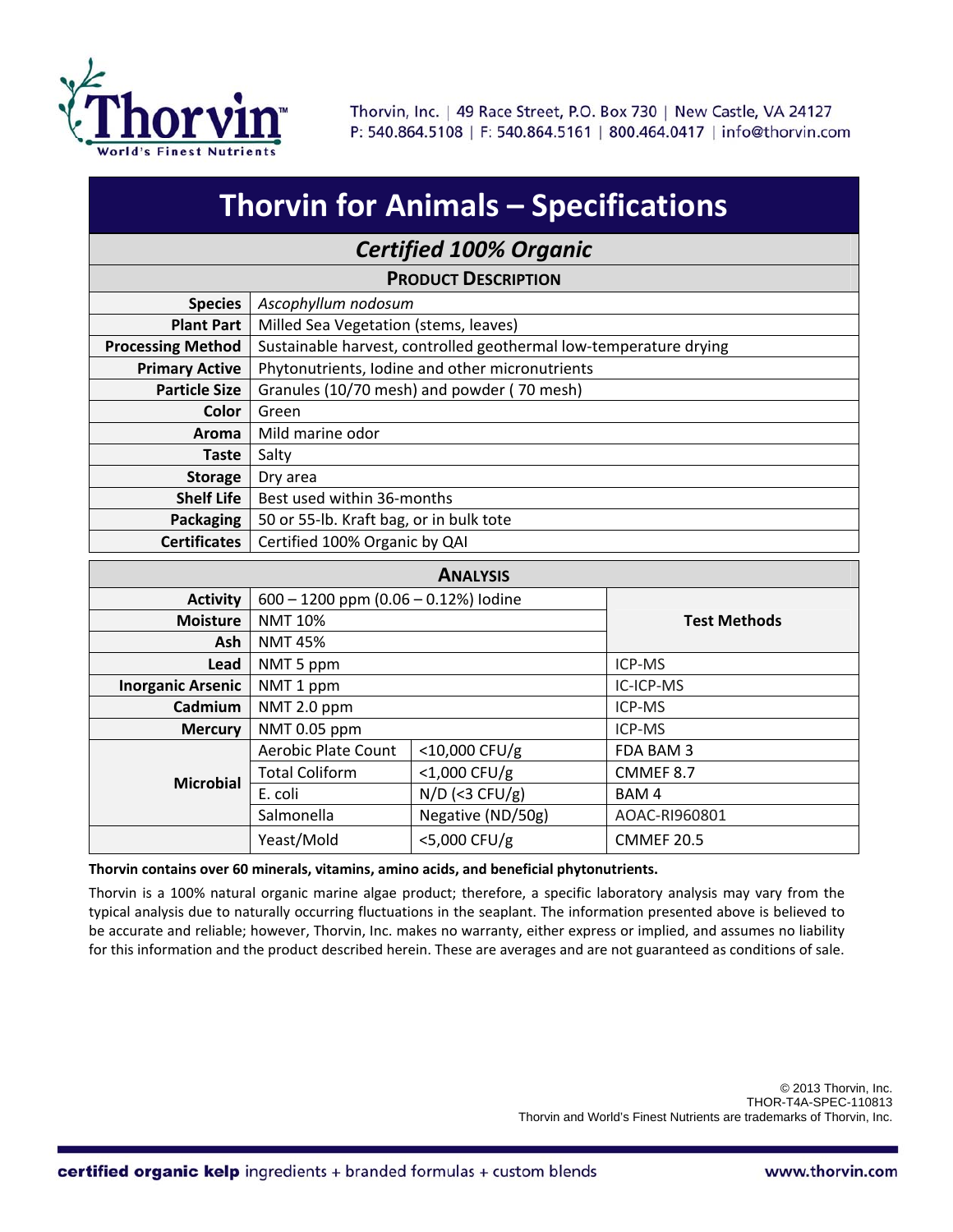

| <b>Thorvin for Animals - Specifications</b> |                                                                   |                   |                     |  |  |  |  |  |
|---------------------------------------------|-------------------------------------------------------------------|-------------------|---------------------|--|--|--|--|--|
| <b>Certified 100% Organic</b>               |                                                                   |                   |                     |  |  |  |  |  |
| <b>PRODUCT DESCRIPTION</b>                  |                                                                   |                   |                     |  |  |  |  |  |
| <b>Species</b>                              | Ascophyllum nodosum                                               |                   |                     |  |  |  |  |  |
| <b>Plant Part</b>                           | Milled Sea Vegetation (stems, leaves)                             |                   |                     |  |  |  |  |  |
| <b>Processing Method</b>                    | Sustainable harvest, controlled geothermal low-temperature drying |                   |                     |  |  |  |  |  |
| <b>Primary Active</b>                       | Phytonutrients, Iodine and other micronutrients                   |                   |                     |  |  |  |  |  |
| <b>Particle Size</b>                        | Granules (10/70 mesh) and powder (70 mesh)                        |                   |                     |  |  |  |  |  |
| <b>Color</b>                                | Green                                                             |                   |                     |  |  |  |  |  |
| Aroma                                       | Mild marine odor                                                  |                   |                     |  |  |  |  |  |
| <b>Taste</b>                                | Salty                                                             |                   |                     |  |  |  |  |  |
| <b>Storage</b>                              | Dry area                                                          |                   |                     |  |  |  |  |  |
| <b>Shelf Life</b>                           | Best used within 36-months                                        |                   |                     |  |  |  |  |  |
| <b>Packaging</b>                            | 50 or 55-lb. Kraft bag, or in bulk tote                           |                   |                     |  |  |  |  |  |
| <b>Certificates</b>                         | Certified 100% Organic by QAI                                     |                   |                     |  |  |  |  |  |
| <b>ANALYSIS</b>                             |                                                                   |                   |                     |  |  |  |  |  |
| <b>Activity</b>                             | $600 - 1200$ ppm $(0.06 - 0.12%)$ lodine                          |                   |                     |  |  |  |  |  |
| <b>Moisture</b>                             | <b>NMT 10%</b>                                                    |                   | <b>Test Methods</b> |  |  |  |  |  |
| Ash                                         | <b>NMT 45%</b>                                                    |                   |                     |  |  |  |  |  |
| Lead                                        | NMT 5 ppm                                                         |                   | ICP-MS              |  |  |  |  |  |
| <b>Inorganic Arsenic</b>                    | NMT 1 ppm                                                         |                   | IC-ICP-MS           |  |  |  |  |  |
| Cadmium                                     | NMT 2.0 ppm                                                       |                   | ICP-MS              |  |  |  |  |  |
| <b>Mercury</b>                              | NMT 0.05 ppm                                                      |                   | ICP-MS              |  |  |  |  |  |
| <b>Microbial</b>                            | Aerobic Plate Count                                               | <10,000 CFU/g     | FDA BAM 3           |  |  |  |  |  |
|                                             | <b>Total Coliform</b>                                             | <1,000 CFU/g      | CMMEF 8.7           |  |  |  |  |  |
|                                             | E. coli                                                           | $N/D$ (<3 CFU/g)  | BAM4                |  |  |  |  |  |
|                                             | Salmonella                                                        | Negative (ND/50g) | AOAC-RI960801       |  |  |  |  |  |
|                                             | Yeast/Mold                                                        | <5,000 CFU/g      | <b>CMMEF 20.5</b>   |  |  |  |  |  |

## **Thorvin contains over 60 minerals, vitamins, amino acids, and beneficial phytonutrients.**

Thorvin is a 100% natural organic marine algae product; therefore, a specific laboratory analysis may vary from the typical analysis due to naturally occurring fluctuations in the seaplant. The information presented above is believed to be accurate and reliable; however, Thorvin, Inc. makes no warranty, either express or implied, and assumes no liability for this information and the product described herein. These are averages and are not guaranteed as conditions of sale.

> © 2013 Thorvin, Inc. THOR-T4A-SPEC-110813 Thorvin and World's Finest Nutrients are trademarks of Thorvin, Inc.